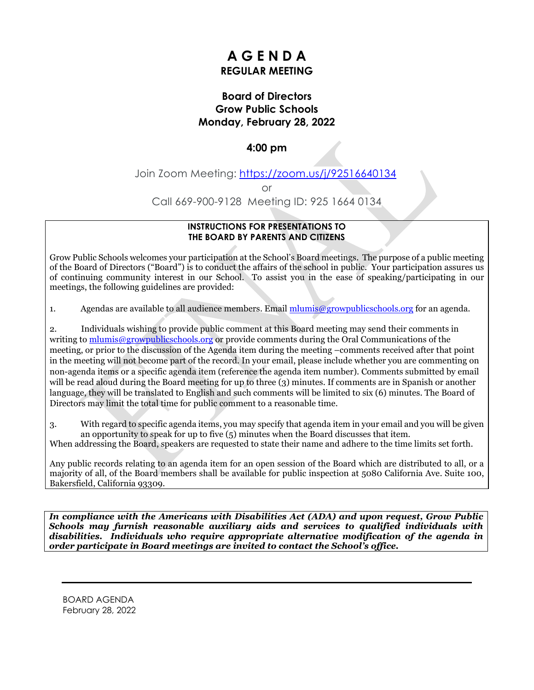# **A G E N D A REGULAR MEETING**

# **Board of Directors Grow Public Schools Monday, February 28, 2022**

# **4:00 pm**

Join Zoom Meeting: <https://zoom.us/j/92516640134>

or

Call 669-900-9128 Meeting ID: 925 1664 0134

#### **INSTRUCTIONS FOR PRESENTATIONS TO THE BOARD BY PARENTS AND CITIZENS**

Grow Public Schools welcomes your participation at the School's Board meetings. The purpose of a public meeting of the Board of Directors ("Board") is to conduct the affairs of the school in public. Your participation assures us of continuing community interest in our School. To assist you in the ease of speaking/participating in our meetings, the following guidelines are provided:

1. Agendas are available to all audience members. Email [mlumis@growpublicschools.org](mailto:mlumis@growpublicschools.org) for an agenda.

2. Individuals wishing to provide public comment at this Board meeting may send their comments in writing to [mlumis@growpublicschools.org](mailto:mlumis@growpublicschools.org) or provide comments during the Oral Communications of the meeting, or prior to the discussion of the Agenda item during the meeting –comments received after that point in the meeting will not become part of the record. In your email, please include whether you are commenting on non-agenda items or a specific agenda item (reference the agenda item number). Comments submitted by email will be read aloud during the Board meeting for up to three (3) minutes. If comments are in Spanish or another language, they will be translated to English and such comments will be limited to six (6) minutes. The Board of Directors may limit the total time for public comment to a reasonable time.

3. With regard to specific agenda items, you may specify that agenda item in your email and you will be given an opportunity to speak for up to five (5) minutes when the Board discusses that item.

When addressing the Board, speakers are requested to state their name and adhere to the time limits set forth.

Any public records relating to an agenda item for an open session of the Board which are distributed to all, or a majority of all, of the Board members shall be available for public inspection at 5080 California Ave. Suite 100, Bakersfield, California 93309.

*In compliance with the Americans with Disabilities Act (ADA) and upon request, Grow Public Schools may furnish reasonable auxiliary aids and services to qualified individuals with disabilities. Individuals who require appropriate alternative modification of the agenda in order participate in Board meetings are invited to contact the School's office.*

BOARD AGENDA February 28, 2022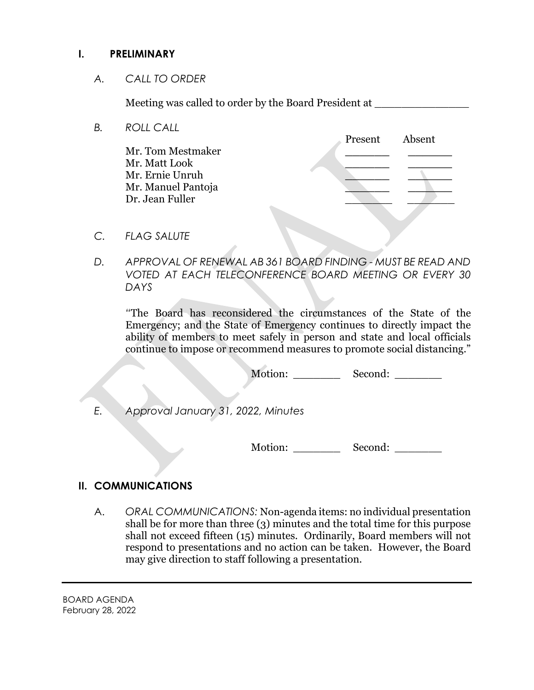# **I. PRELIMINARY**

*A. CALL TO ORDER*

Meeting was called to order by the Board President at \_\_\_\_\_\_\_\_\_\_\_\_\_\_

*B. ROLL CALL*

Present Absent Mr. Tom Mestmaker **\_\_\_\_\_\_ \_\_\_\_\_\_** Mr. Matt Look **\_\_\_\_\_\_ \_\_\_\_\_\_** Mr. Ernie Unruh **\_\_\_\_\_\_ \_\_\_\_\_\_** Mr. Manuel Pantoja **\_\_\_\_\_\_ \_\_\_\_\_\_** Dr. Jean Fuller \_\_\_\_\_\_\_ \_\_\_\_\_\_\_

- *C. FLAG SALUTE*
- *D. APPROVAL OF RENEWAL AB 361 BOARD FINDING - MUST BE READ AND VOTED AT EACH TELECONFERENCE BOARD MEETING OR EVERY 30 DAYS*

*"*The Board has reconsidered the circumstances of the State of the Emergency; and the State of Emergency continues to directly impact the ability of members to meet safely in person and state and local officials continue to impose or recommend measures to promote social distancing."

Motion: Second:

*E. Approval January 31, 2022, Minutes*

Motion: \_\_\_\_\_\_\_\_\_\_\_ Second: \_\_\_\_\_\_\_\_

# **II. COMMUNICATIONS**

A. *ORAL COMMUNICATIONS:* Non-agenda items: no individual presentation shall be for more than three (3) minutes and the total time for this purpose shall not exceed fifteen (15) minutes. Ordinarily, Board members will not respond to presentations and no action can be taken. However, the Board may give direction to staff following a presentation.

BOARD AGENDA February 28, 2022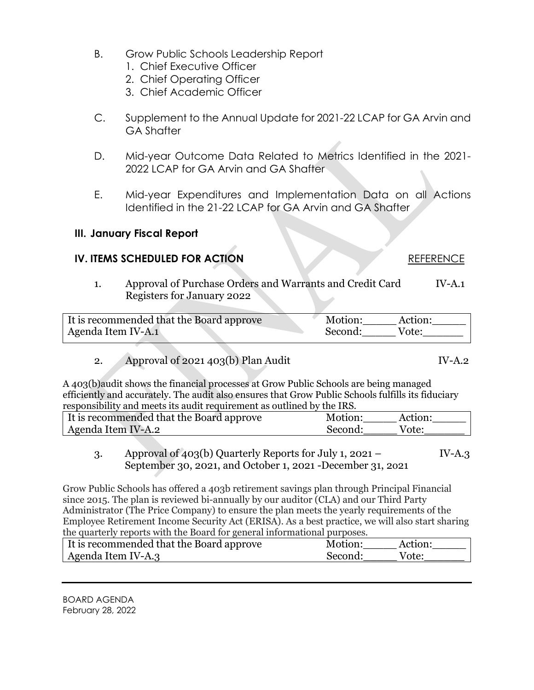- B. Grow Public Schools Leadership Report
	- 1. Chief Executive Officer
	- 2. Chief Operating Officer
	- 3. Chief Academic Officer
- C. Supplement to the Annual Update for 2021-22 LCAP for GA Arvin and GA Shafter
- D. Mid-year Outcome Data Related to Metrics Identified in the 2021- 2022 LCAP for GA Arvin and GA Shafter
- E. Mid-year Expenditures and Implementation Data on all Actions Identified in the 21-22 LCAP for GA Arvin and GA Shafter

# **III. January Fiscal Report**

# **IV. ITEMS SCHEDULED FOR ACTION** REFERENCE

### 1. Approval of Purchase Orders and Warrants and Credit Card IV-A.1 Registers for January 2022

| It is recommended that the Board approve | Motion: | Action: |
|------------------------------------------|---------|---------|
| Agenda Item IV-A.1                       | Second: | Vote:   |

2. Approval of  $2021\,403(b)$  Plan Audit IV-A.2

A 403(b)audit shows the financial processes at Grow Public Schools are being managed efficiently and accurately. The audit also ensures that Grow Public Schools fulfills its fiduciary responsibility and meets its audit requirement as outlined by the IRS.

| It is recommended that the Board approve | Motion: | Action: |
|------------------------------------------|---------|---------|
| Agenda Item IV-A.2                       | Second: | Vote:   |

3. Approval of  $403(b)$  Quarterly Reports for July 1, 2021 – IV-A.3 September 30, 2021, and October 1, 2021 -December 31, 2o21

Grow Public Schools has offered a 403b retirement savings plan through Principal Financial since 2015. The plan is reviewed bi-annually by our auditor (CLA) and our Third Party Administrator (The Price Company) to ensure the plan meets the yearly requirements of the Employee Retirement Income Security Act (ERISA). As a best practice, we will also start sharing the quarterly reports with the Board for general informational purposes.

| It is recommended that the Board approve | Motion: | Action: |
|------------------------------------------|---------|---------|
| Agenda Item IV-A.3                       | Second: | Vote:   |

BOARD AGENDA February 28, 2022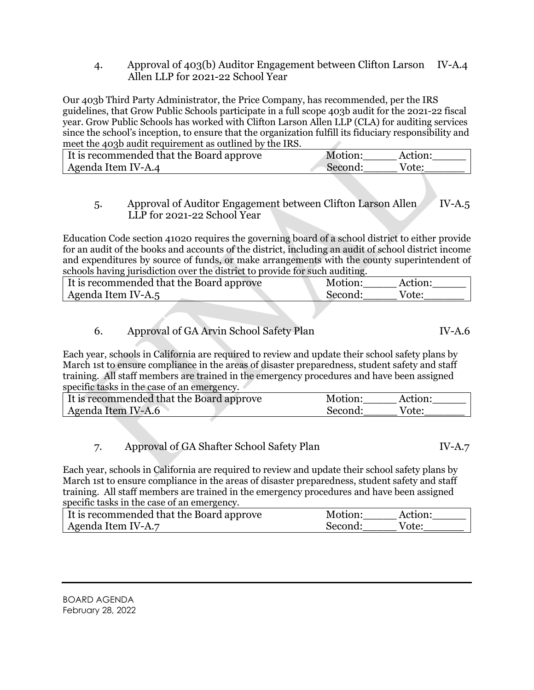4. Approval of 403(b) Auditor Engagement between Clifton Larson IV-A.4 Allen LLP for 2021-22 School Year

Our 403b Third Party Administrator, the Price Company, has recommended, per the IRS guidelines, that Grow Public Schools participate in a full scope 403b audit for the 2021-22 fiscal year. Grow Public Schools has worked with Clifton Larson Allen LLP (CLA) for auditing services since the school's inception, to ensure that the organization fulfill its fiduciary responsibility and meet the 403b audit requirement as outlined by the IRS.

| If is recommended that the Board approve | Motion:<br>Action: |
|------------------------------------------|--------------------|
| Agenda Item IV-A.4                       | Second:<br>Vote:   |

### 5. Approval of Auditor Engagement between Clifton Larson Allen IV-A.5 LLP for 2021-22 School Year

Education Code section 41020 requires the governing board of a school district to either provide for an audit of the books and accounts of the district, including an audit of school district income and expenditures by source of funds, or make arrangements with the county superintendent of schools having jurisdiction over the district to provide for such auditing.

| If is recommended that the Board approve | Motion: | Action: |
|------------------------------------------|---------|---------|
| Agenda Item IV-A.5                       | Second: | Vote:   |

# 6. Approval of GA Arvin School Safety Plan IV-A.6

Each year, schools in California are required to review and update their school safety plans by March 1st to ensure compliance in the areas of disaster preparedness, student safety and staff training. All staff members are trained in the emergency procedures and have been assigned specific tasks in the case of an emergency.

| It is recommended that the Board approve | Motion:<br>Action: |  |
|------------------------------------------|--------------------|--|
| Agenda Item IV-A.6                       | Vote:<br>Second:   |  |

### 7. Approval of GA Shafter School Safety Plan IV-A.7

Each year, schools in California are required to review and update their school safety plans by March 1st to ensure compliance in the areas of disaster preparedness, student safety and staff training. All staff members are trained in the emergency procedures and have been assigned specific tasks in the case of an emergency.

| It is recommended that the Board approve | Motion: | Action: |
|------------------------------------------|---------|---------|
| Agenda Item IV-A.7                       | Second: | Vote:   |